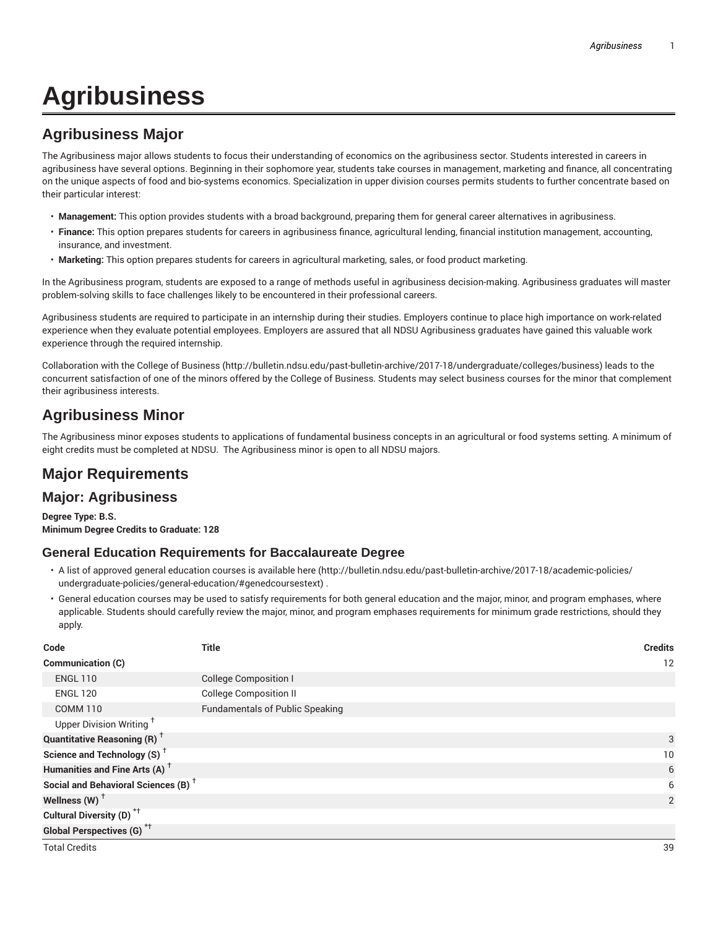# **Agribusiness**

# **Agribusiness Major**

The Agribusiness major allows students to focus their understanding of economics on the agribusiness sector. Students interested in careers in agribusiness have several options. Beginning in their sophomore year, students take courses in management, marketing and finance, all concentrating on the unique aspects of food and bio-systems economics. Specialization in upper division courses permits students to further concentrate based on their particular interest:

- **Management:** This option provides students with a broad background, preparing them for general career alternatives in agribusiness.
- **Finance:** This option prepares students for careers in agribusiness finance, agricultural lending, financial institution management, accounting, insurance, and investment.
- **Marketing:** This option prepares students for careers in agricultural marketing, sales, or food product marketing.

In the Agribusiness program, students are exposed to a range of methods useful in agribusiness decision-making. Agribusiness graduates will master problem-solving skills to face challenges likely to be encountered in their professional careers.

Agribusiness students are required to participate in an internship during their studies. Employers continue to place high importance on work-related experience when they evaluate potential employees. Employers are assured that all NDSU Agribusiness graduates have gained this valuable work experience through the required internship.

Collaboration with the College of Business (http://bulletin.ndsu.edu/past-bulletin-archive/2017-18/undergraduate/colleges/business) leads to the concurrent satisfaction of one of the minors offered by the College of Business. Students may select business courses for the minor that complement their agribusiness interests.

## **Agribusiness Minor**

The Agribusiness minor exposes students to applications of fundamental business concepts in an agricultural or food systems setting. A minimum of eight credits must be completed at NDSU. The Agribusiness minor is open to all NDSU majors.

## **Major Requirements**

#### **Major: Agribusiness**

**Degree Type: B.S. Minimum Degree Credits to Graduate: 128**

#### **General Education Requirements for Baccalaureate Degree**

- A list of approved general education courses is available here (http://bulletin.ndsu.edu/past-bulletin-archive/2017-18/academic-policies/ undergraduate-policies/general-education/#genedcoursestext) .
- General education courses may be used to satisfy requirements for both general education and the major, minor, and program emphases, where applicable. Students should carefully review the major, minor, and program emphases requirements for minimum grade restrictions, should they apply.

| Code                                            | <b>Title</b>                           | <b>Credits</b> |
|-------------------------------------------------|----------------------------------------|----------------|
| Communication (C)                               |                                        | 12             |
| <b>ENGL 110</b>                                 | <b>College Composition I</b>           |                |
| <b>ENGL 120</b>                                 | <b>College Composition II</b>          |                |
| <b>COMM 110</b>                                 | <b>Fundamentals of Public Speaking</b> |                |
| Upper Division Writing <sup>+</sup>             |                                        |                |
| <b>Quantitative Reasoning (R)</b> <sup>†</sup>  |                                        | 3              |
| Science and Technology (S) <sup>+</sup>         |                                        | 10             |
| Humanities and Fine Arts (A) <sup>+</sup>       |                                        | 6              |
| Social and Behavioral Sciences (B) <sup>+</sup> |                                        | 6              |
| Wellness (W) $^{\dagger}$                       |                                        | 2              |
| Cultural Diversity (D) <sup>*†</sup>            |                                        |                |
| <b>Global Perspectives (G)</b> <sup>*†</sup>    |                                        |                |

Total Credits 39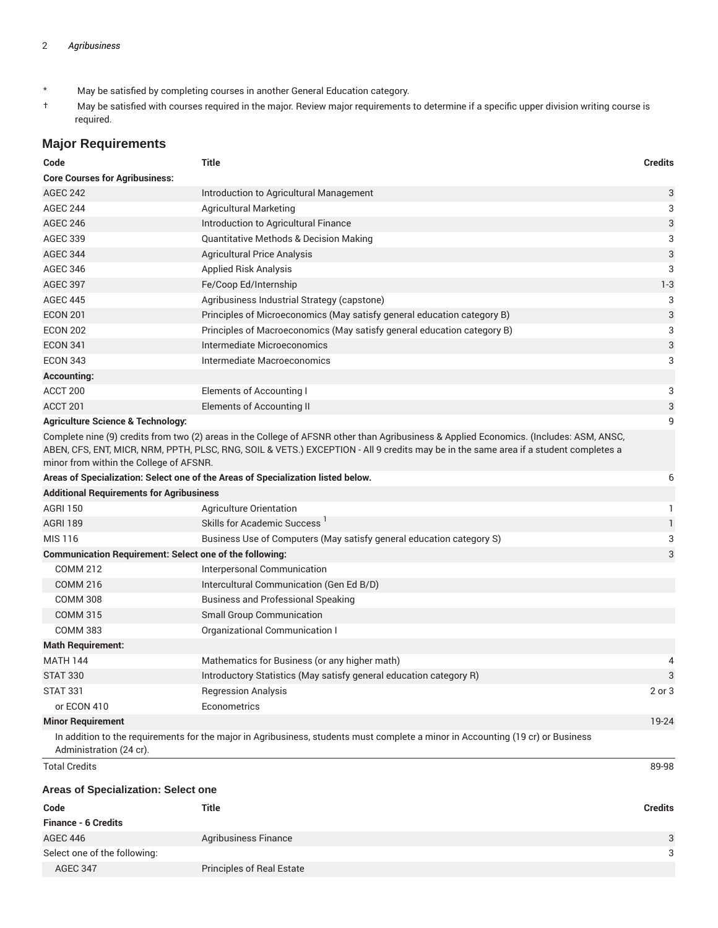- \* May be satisfied by completing courses in another General Education category.
- † May be satisfied with courses required in the major. Review major requirements to determine if a specific upper division writing course is required.

#### **Major Requirements**

| Code                                                           | Title                                                                                                                                                                                                                                                                           | <b>Credits</b> |
|----------------------------------------------------------------|---------------------------------------------------------------------------------------------------------------------------------------------------------------------------------------------------------------------------------------------------------------------------------|----------------|
| <b>Core Courses for Agribusiness:</b>                          |                                                                                                                                                                                                                                                                                 |                |
| <b>AGEC 242</b>                                                | Introduction to Agricultural Management                                                                                                                                                                                                                                         | 3              |
| <b>AGEC 244</b>                                                | <b>Agricultural Marketing</b>                                                                                                                                                                                                                                                   | 3              |
| <b>AGEC 246</b>                                                | Introduction to Agricultural Finance                                                                                                                                                                                                                                            | 3              |
| <b>AGEC 339</b>                                                | <b>Quantitative Methods &amp; Decision Making</b>                                                                                                                                                                                                                               | 3              |
| <b>AGEC 344</b>                                                | <b>Agricultural Price Analysis</b>                                                                                                                                                                                                                                              | 3              |
| <b>AGEC 346</b>                                                | <b>Applied Risk Analysis</b>                                                                                                                                                                                                                                                    | 3              |
| <b>AGEC 397</b>                                                | Fe/Coop Ed/Internship                                                                                                                                                                                                                                                           | $1 - 3$        |
| <b>AGEC 445</b>                                                | Agribusiness Industrial Strategy (capstone)                                                                                                                                                                                                                                     | 3              |
| <b>ECON 201</b>                                                | Principles of Microeconomics (May satisfy general education category B)                                                                                                                                                                                                         | 3              |
| <b>ECON 202</b>                                                | Principles of Macroeconomics (May satisfy general education category B)                                                                                                                                                                                                         | 3              |
| <b>ECON 341</b>                                                | Intermediate Microeconomics                                                                                                                                                                                                                                                     | 3              |
| <b>ECON 343</b>                                                | Intermediate Macroeconomics                                                                                                                                                                                                                                                     | 3              |
| <b>Accounting:</b>                                             |                                                                                                                                                                                                                                                                                 |                |
| ACCT 200                                                       | Elements of Accounting I                                                                                                                                                                                                                                                        | 3              |
| ACCT 201                                                       | <b>Elements of Accounting II</b>                                                                                                                                                                                                                                                | 3              |
| <b>Agriculture Science &amp; Technology:</b>                   |                                                                                                                                                                                                                                                                                 | 9              |
| minor from within the College of AFSNR.                        | Complete nine (9) credits from two (2) areas in the College of AFSNR other than Agribusiness & Applied Economics. (Includes: ASM, ANSC,<br>ABEN, CFS, ENT, MICR, NRM, PPTH, PLSC, RNG, SOIL & VETS.) EXCEPTION - All 9 credits may be in the same area if a student completes a |                |
|                                                                | Areas of Specialization: Select one of the Areas of Specialization listed below.                                                                                                                                                                                                | 6              |
| <b>Additional Requirements for Agribusiness</b>                |                                                                                                                                                                                                                                                                                 |                |
| <b>AGRI 150</b>                                                | Agriculture Orientation                                                                                                                                                                                                                                                         | 1              |
| <b>AGRI 189</b>                                                | Skills for Academic Success <sup>1</sup>                                                                                                                                                                                                                                        | 1              |
| MIS 116                                                        | Business Use of Computers (May satisfy general education category S)                                                                                                                                                                                                            | 3              |
| <b>Communication Requirement: Select one of the following:</b> |                                                                                                                                                                                                                                                                                 | 3              |
| <b>COMM 212</b>                                                | Interpersonal Communication                                                                                                                                                                                                                                                     |                |
| <b>COMM 216</b>                                                | Intercultural Communication (Gen Ed B/D)                                                                                                                                                                                                                                        |                |
| <b>COMM 308</b>                                                | <b>Business and Professional Speaking</b>                                                                                                                                                                                                                                       |                |
| <b>COMM 315</b>                                                | <b>Small Group Communication</b>                                                                                                                                                                                                                                                |                |
| <b>COMM 383</b>                                                |                                                                                                                                                                                                                                                                                 |                |
| <b>Math Requirement:</b>                                       | Organizational Communication I                                                                                                                                                                                                                                                  |                |
| <b>MATH 144</b>                                                | Mathematics for Business (or any higher math)                                                                                                                                                                                                                                   |                |
| <b>STAT 330</b>                                                | Introductory Statistics (May satisfy general education category R)                                                                                                                                                                                                              | 4<br>3         |
|                                                                |                                                                                                                                                                                                                                                                                 |                |
| <b>STAT 331</b><br>or ECON 410                                 | <b>Regression Analysis</b><br>Econometrics                                                                                                                                                                                                                                      | 2 or 3         |
|                                                                |                                                                                                                                                                                                                                                                                 | 19-24          |
| <b>Minor Requirement</b>                                       | In addition to the requirements for the major in Agribusiness, students must complete a minor in Accounting (19 cr) or Business                                                                                                                                                 |                |
| Administration (24 cr).                                        |                                                                                                                                                                                                                                                                                 |                |
| <b>Total Credits</b>                                           |                                                                                                                                                                                                                                                                                 | 89-98          |
| Areas of Specialization: Select one                            |                                                                                                                                                                                                                                                                                 |                |
| Code                                                           | <b>Title</b>                                                                                                                                                                                                                                                                    | <b>Credits</b> |
| <b>Finance - 6 Credits</b>                                     |                                                                                                                                                                                                                                                                                 |                |
| <b>AGEC 446</b>                                                | Agribusiness Finance                                                                                                                                                                                                                                                            | 3              |
| Select one of the following:                                   |                                                                                                                                                                                                                                                                                 | 3              |
| <b>AGEC 347</b>                                                | <b>Principles of Real Estate</b>                                                                                                                                                                                                                                                |                |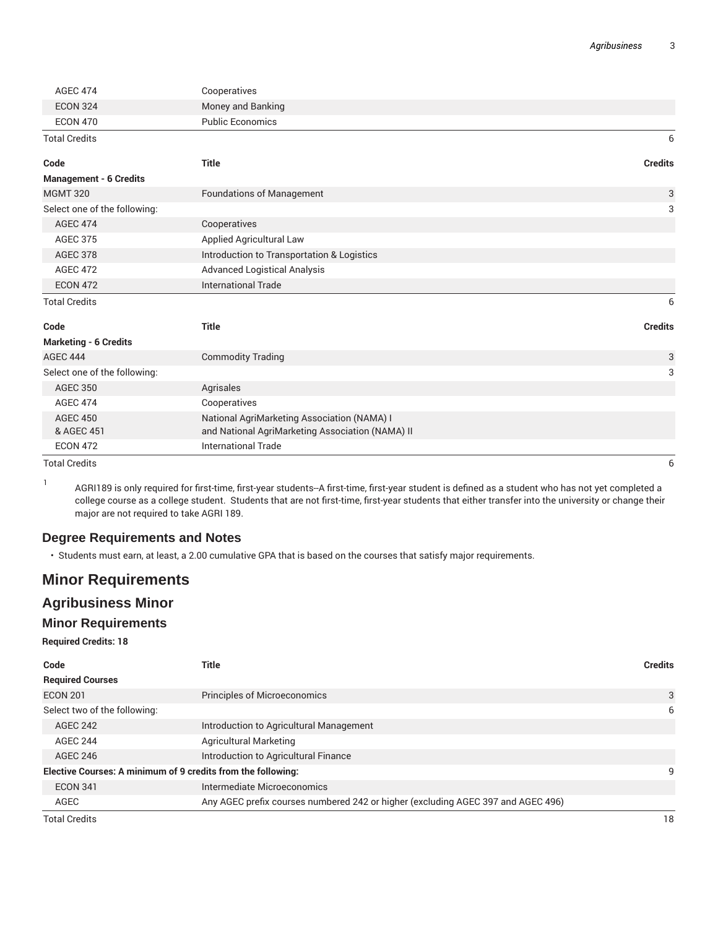| <b>AGEC 474</b>               | Cooperatives                                     |                |
|-------------------------------|--------------------------------------------------|----------------|
| <b>ECON 324</b>               | Money and Banking                                |                |
| <b>ECON 470</b>               | <b>Public Economics</b>                          |                |
| <b>Total Credits</b>          |                                                  | 6              |
| Code                          | <b>Title</b>                                     | <b>Credits</b> |
| <b>Management - 6 Credits</b> |                                                  |                |
| <b>MGMT 320</b>               | <b>Foundations of Management</b>                 | 3              |
| Select one of the following:  |                                                  | 3              |
| <b>AGEC 474</b>               | Cooperatives                                     |                |
| <b>AGEC 375</b>               | Applied Agricultural Law                         |                |
| <b>AGEC 378</b>               | Introduction to Transportation & Logistics       |                |
| <b>AGEC 472</b>               | <b>Advanced Logistical Analysis</b>              |                |
| <b>ECON 472</b>               | <b>International Trade</b>                       |                |
| <b>Total Credits</b>          |                                                  | 6              |
| Code                          | <b>Title</b>                                     | <b>Credits</b> |
| <b>Marketing - 6 Credits</b>  |                                                  |                |
| <b>AGEC 444</b>               | <b>Commodity Trading</b>                         | 3              |
| Select one of the following:  |                                                  | 3              |
| <b>AGEC 350</b>               | Agrisales                                        |                |
| <b>AGEC 474</b>               | Cooperatives                                     |                |
| <b>AGEC 450</b>               | National AgriMarketing Association (NAMA) I      |                |
| & AGEC 451                    | and National AgriMarketing Association (NAMA) II |                |
| <b>ECON 472</b>               | <b>International Trade</b>                       |                |

Total Credits 6

1 AGRI189 is only required for first-time, first-year students--A first-time, first-year student is defined as a student who has not yet completed a college course as a college student. Students that are not first-time, first-year students that either transfer into the university or change their major are not required to take AGRI 189.

#### **Degree Requirements and Notes**

• Students must earn, at least, a 2.00 cumulative GPA that is based on the courses that satisfy major requirements.

## **Minor Requirements**

### **Agribusiness Minor**

#### **Minor Requirements**

**Required Credits: 18**

| Code                                                         | Title                                                                            | <b>Credits</b> |
|--------------------------------------------------------------|----------------------------------------------------------------------------------|----------------|
| <b>Required Courses</b>                                      |                                                                                  |                |
| <b>ECON 201</b>                                              | <b>Principles of Microeconomics</b>                                              | 3              |
| Select two of the following:                                 |                                                                                  | 6              |
| <b>AGEC 242</b>                                              | Introduction to Agricultural Management                                          |                |
| <b>AGEC 244</b>                                              | <b>Agricultural Marketing</b>                                                    |                |
| AGEC 246                                                     | Introduction to Agricultural Finance                                             |                |
| Elective Courses: A minimum of 9 credits from the following: |                                                                                  | 9              |
| <b>ECON 341</b>                                              | Intermediate Microeconomics                                                      |                |
| AGEC                                                         | Any AGEC prefix courses numbered 242 or higher (excluding AGEC 397 and AGEC 496) |                |
| <b>Total Credits</b>                                         |                                                                                  | 18             |